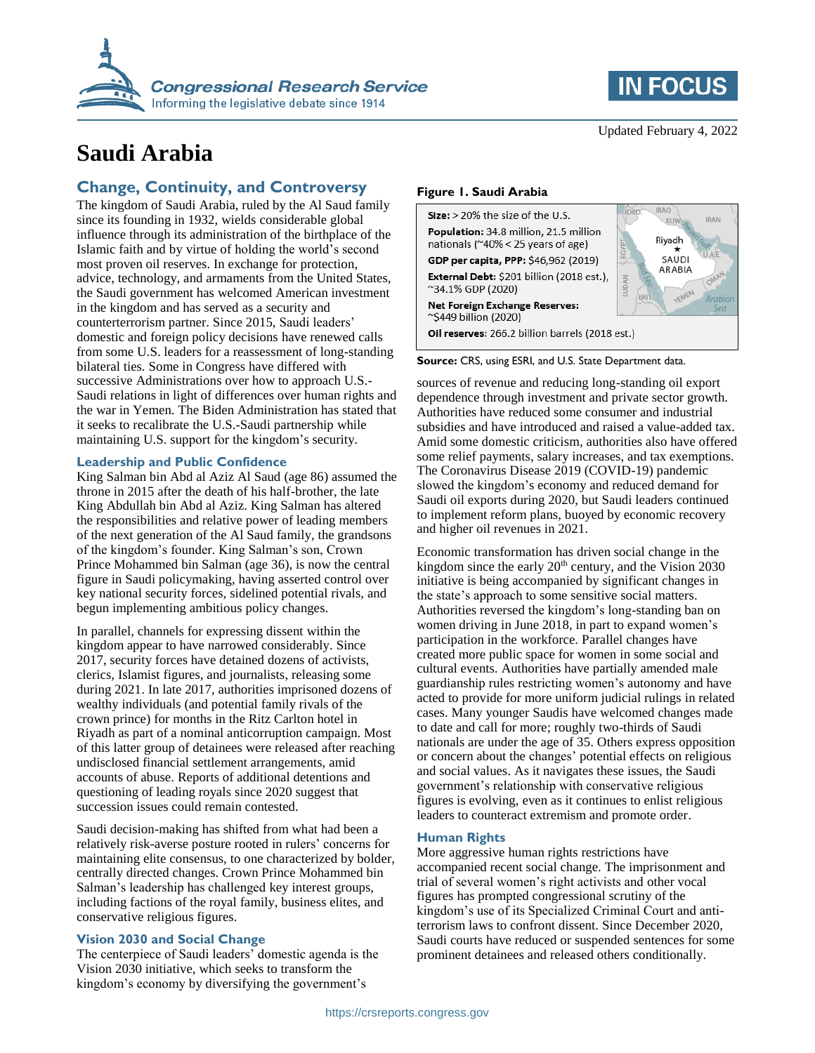

# **Saudi Arabia**

# **Change, Continuity, and Controversy**

The kingdom of Saudi Arabia, ruled by the Al Saud family since its founding in 1932, wields considerable global influence through its administration of the birthplace of the Islamic faith and by virtue of holding the world's second most proven oil reserves. In exchange for protection, advice, technology, and armaments from the United States, the Saudi government has welcomed American investment in the kingdom and has served as a security and counterterrorism partner. Since 2015, Saudi leaders' domestic and foreign policy decisions have renewed calls from some U.S. leaders for a reassessment of long-standing bilateral ties. Some in Congress have differed with successive Administrations over how to approach U.S.- Saudi relations in light of differences over human rights and the war in Yemen. The Biden Administration has stated that it seeks to recalibrate the U.S.-Saudi partnership while maintaining U.S. support for the kingdom's security.

### **Leadership and Public Confidence**

King Salman bin Abd al Aziz Al Saud (age 86) assumed the throne in 2015 after the death of his half-brother, the late King Abdullah bin Abd al Aziz. King Salman has altered the responsibilities and relative power of leading members of the next generation of the Al Saud family, the grandsons of the kingdom's founder. King Salman's son, Crown Prince Mohammed bin Salman (age 36), is now the central figure in Saudi policymaking, having asserted control over key national security forces, sidelined potential rivals, and begun implementing ambitious policy changes.

In parallel, channels for expressing dissent within the kingdom appear to have narrowed considerably. Since 2017, security forces have detained dozens of activists, clerics, Islamist figures, and journalists, releasing some during 2021. In late 2017, authorities imprisoned dozens of wealthy individuals (and potential family rivals of the crown prince) for months in the Ritz Carlton hotel in Riyadh as part of a nominal anticorruption campaign. Most of this latter group of detainees were released after reaching undisclosed financial settlement arrangements, amid accounts of abuse. Reports of additional detentions and questioning of leading royals since 2020 suggest that succession issues could remain contested.

Saudi decision-making has shifted from what had been a relatively risk-averse posture rooted in rulers' concerns for maintaining elite consensus, to one characterized by bolder, centrally directed changes. Crown Prince Mohammed bin Salman's leadership has challenged key interest groups, including factions of the royal family, business elites, and conservative religious figures.

# **Vision 2030 and Social Change**

The centerpiece of Saudi leaders' domestic agenda is the Vision 2030 initiative, which seeks to transform the kingdom's economy by diversifying the government's



# **Figure 1. Saudi Arabia**



**Source:** CRS, using ESRI, and U.S. State Department data.

sources of revenue and reducing long-standing oil export dependence through investment and private sector growth. Authorities have reduced some consumer and industrial subsidies and have introduced and raised a value-added tax. Amid some domestic criticism, authorities also have offered some relief payments, salary increases, and tax exemptions. The Coronavirus Disease 2019 (COVID-19) pandemic slowed the kingdom's economy and reduced demand for Saudi oil exports during 2020, but Saudi leaders continued to implement reform plans, buoyed by economic recovery and higher oil revenues in 2021.

Economic transformation has driven social change in the kingdom since the early  $20<sup>th</sup>$  century, and the Vision 2030 initiative is being accompanied by significant changes in the state's approach to some sensitive social matters. Authorities reversed the kingdom's long-standing ban on women driving in June 2018, in part to expand women's participation in the workforce. Parallel changes have created more public space for women in some social and cultural events. Authorities have partially amended male guardianship rules restricting women's autonomy and have acted to provide for more uniform judicial rulings in related cases. Many younger Saudis have welcomed changes made to date and call for more; roughly two-thirds of Saudi nationals are under the age of 35. Others express opposition or concern about the changes' potential effects on religious and social values. As it navigates these issues, the Saudi government's relationship with conservative religious figures is evolving, even as it continues to enlist religious leaders to counteract extremism and promote order.

# **Human Rights**

More aggressive human rights restrictions have accompanied recent social change. The imprisonment and trial of several women's right activists and other vocal figures has prompted congressional scrutiny of the kingdom's use of its Specialized Criminal Court and antiterrorism laws to confront dissent. Since December 2020, Saudi courts have reduced or suspended sentences for some prominent detainees and released others conditionally.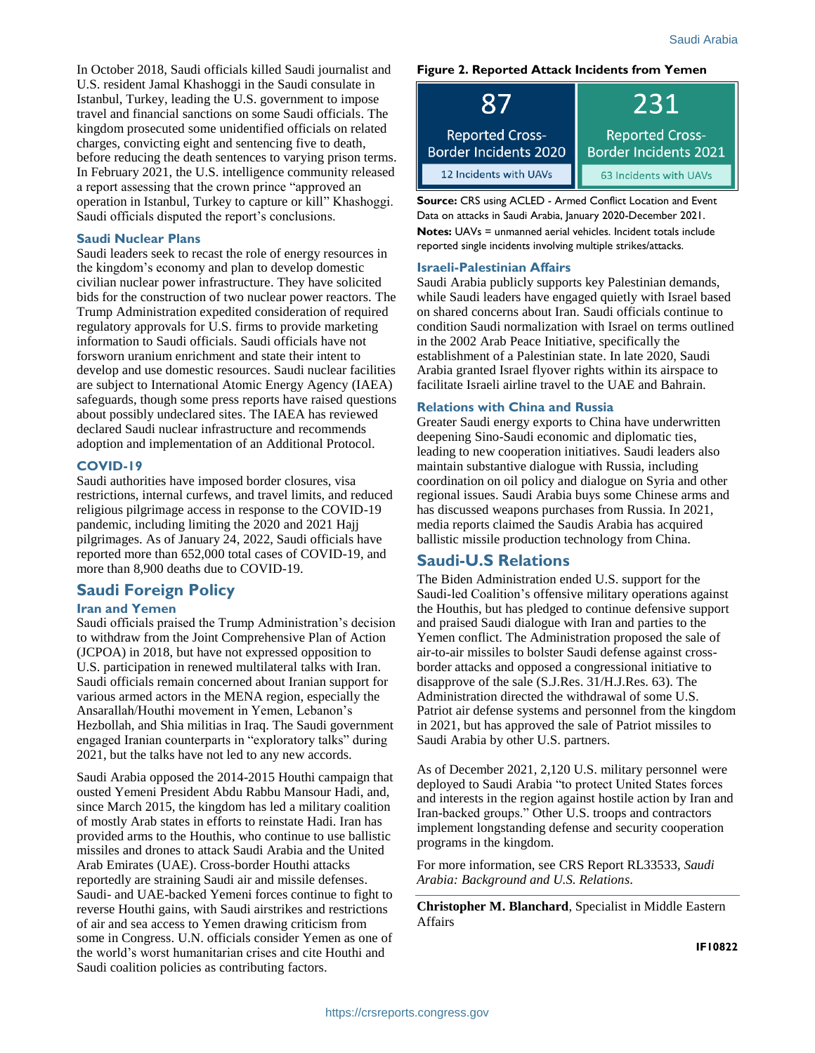In October 2018, Saudi officials killed Saudi journalist and U.S. resident Jamal Khashoggi in the Saudi consulate in Istanbul, Turkey, leading the U.S. government to impose travel and financial sanctions on some Saudi officials. The kingdom prosecuted some unidentified officials on related charges, convicting eight and sentencing five to death, before reducing the death sentences to varying prison terms. In February 2021, the U.S. intelligence community released a report assessing that the crown prince "approved an operation in Istanbul, Turkey to capture or kill" Khashoggi. Saudi officials disputed the report's conclusions.

#### **Saudi Nuclear Plans**

Saudi leaders seek to recast the role of energy resources in the kingdom's economy and plan to develop domestic civilian nuclear power infrastructure. They have solicited bids for the construction of two nuclear power reactors. The Trump Administration expedited consideration of required regulatory approvals for U.S. firms to provide marketing information to Saudi officials. Saudi officials have not forsworn uranium enrichment and state their intent to develop and use domestic resources. Saudi nuclear facilities are subject to International Atomic Energy Agency (IAEA) safeguards, though some press reports have raised questions about possibly undeclared sites. The IAEA has reviewed declared Saudi nuclear infrastructure and recommends adoption and implementation of an Additional Protocol.

#### **COVID-19**

Saudi authorities have imposed border closures, visa restrictions, internal curfews, and travel limits, and reduced religious pilgrimage access in response to the COVID-19 pandemic, including limiting the 2020 and 2021 Hajj pilgrimages. As of January 24, 2022, Saudi officials have reported more than 652,000 total cases of COVID-19, and more than 8,900 deaths due to COVID-19.

# **Saudi Foreign Policy**

### **Iran and Yemen**

Saudi officials praised the Trump Administration's decision to withdraw from the Joint Comprehensive Plan of Action (JCPOA) in 2018, but have not expressed opposition to U.S. participation in renewed multilateral talks with Iran. Saudi officials remain concerned about Iranian support for various armed actors in the MENA region, especially the Ansarallah/Houthi movement in Yemen, Lebanon's Hezbollah, and Shia militias in Iraq. The Saudi government engaged Iranian counterparts in "exploratory talks" during 2021, but the talks have not led to any new accords.

Saudi Arabia opposed the 2014-2015 Houthi campaign that ousted Yemeni President Abdu Rabbu Mansour Hadi, and, since March 2015, the kingdom has led a military coalition of mostly Arab states in efforts to reinstate Hadi. Iran has provided arms to the Houthis, who continue to use ballistic missiles and drones to attack Saudi Arabia and the United Arab Emirates (UAE). Cross-border Houthi attacks reportedly are straining Saudi air and missile defenses. Saudi- and UAE-backed Yemeni forces continue to fight to reverse Houthi gains, with Saudi airstrikes and restrictions of air and sea access to Yemen drawing criticism from some in Congress. U.N. officials consider Yemen as one of the world's worst humanitarian crises and cite Houthi and Saudi coalition policies as contributing factors.

#### **Figure 2. Reported Attack Incidents from Yemen**

|                                                        | 231                                                    |
|--------------------------------------------------------|--------------------------------------------------------|
| <b>Reported Cross-</b><br><b>Border Incidents 2020</b> | <b>Reported Cross-</b><br><b>Border Incidents 2021</b> |
| 12 Incidents with UAVs                                 | 63 Incidents with UAVs                                 |

**Source:** CRS using ACLED - Armed Conflict Location and Event Data on attacks in Saudi Arabia, January 2020-December 2021. **Notes:** UAVs = unmanned aerial vehicles. Incident totals include reported single incidents involving multiple strikes/attacks.

#### **Israeli-Palestinian Affairs**

Saudi Arabia publicly supports key Palestinian demands, while Saudi leaders have engaged quietly with Israel based on shared concerns about Iran. Saudi officials continue to condition Saudi normalization with Israel on terms outlined in the 2002 Arab Peace Initiative, specifically the establishment of a Palestinian state. In late 2020, Saudi Arabia granted Israel flyover rights within its airspace to facilitate Israeli airline travel to the UAE and Bahrain.

### **Relations with China and Russia**

Greater Saudi energy exports to China have underwritten deepening Sino-Saudi economic and diplomatic ties, leading to new cooperation initiatives. Saudi leaders also maintain substantive dialogue with Russia, including coordination on oil policy and dialogue on Syria and other regional issues. Saudi Arabia buys some Chinese arms and has discussed weapons purchases from Russia. In 2021, media reports claimed the Saudis Arabia has acquired ballistic missile production technology from China.

# **Saudi-U.S Relations**

The Biden Administration ended U.S. support for the Saudi-led Coalition's offensive military operations against the Houthis, but has pledged to continue defensive support and praised Saudi dialogue with Iran and parties to the Yemen conflict. The Administration proposed the sale of air-to-air missiles to bolster Saudi defense against crossborder attacks and opposed a congressional initiative to disapprove of the sale (S.J.Res. 31/H.J.Res. 63). The Administration directed the withdrawal of some U.S. Patriot air defense systems and personnel from the kingdom in 2021, but has approved the sale of Patriot missiles to Saudi Arabia by other U.S. partners.

As of December 2021, 2,120 U.S. military personnel were deployed to Saudi Arabia "to protect United States forces and interests in the region against hostile action by Iran and Iran-backed groups." Other U.S. troops and contractors implement longstanding defense and security cooperation programs in the kingdom.

For more information, see CRS Report RL33533, *Saudi Arabia: Background and U.S. Relations*.

**Christopher M. Blanchard**, Specialist in Middle Eastern Affairs